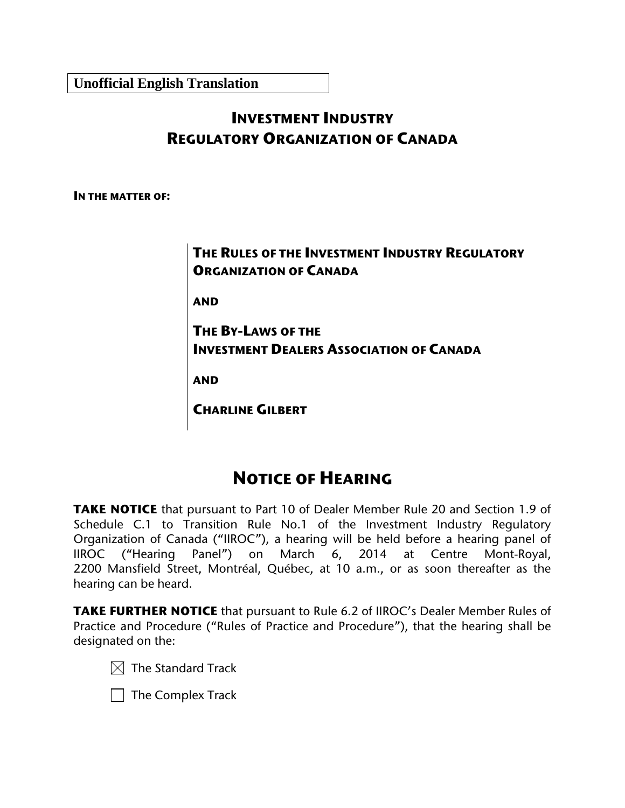**Unofficial English Translation**

# **INVESTMENT INDUSTRY REGULATORY ORGANIZATION OF CANADA**

**IN THE MATTER OF:**

**THE RULES OF THE INVESTMENT INDUSTRY REGULATORY ORGANIZATION OF CANADA** 

**AND**

**THE BY-LAWS OF THE INVESTMENT DEALERS ASSOCIATION OF CANADA** 

**AND**

**CHARLINE GILBERT**

# **NOTICE OF HEARING**

**TAKE NOTICE** that pursuant to Part 10 of Dealer Member Rule 20 and Section 1.9 of Schedule C.1 to Transition Rule No.1 of the Investment Industry Regulatory Organization of Canada ("IIROC"), a hearing will be held before a hearing panel of IIROC ("Hearing Panel") on March 6, 2014 at Centre Mont-Royal, 2200 Mansfield Street, Montréal, Québec, at 10 a.m., or as soon thereafter as the hearing can be heard.

**TAKE FURTHER NOTICE** that pursuant to Rule 6.2 of IIROC's Dealer Member Rules of Practice and Procedure ("Rules of Practice and Procedure"), that the hearing shall be designated on the:



 $\vert \ \vert$  The Complex Track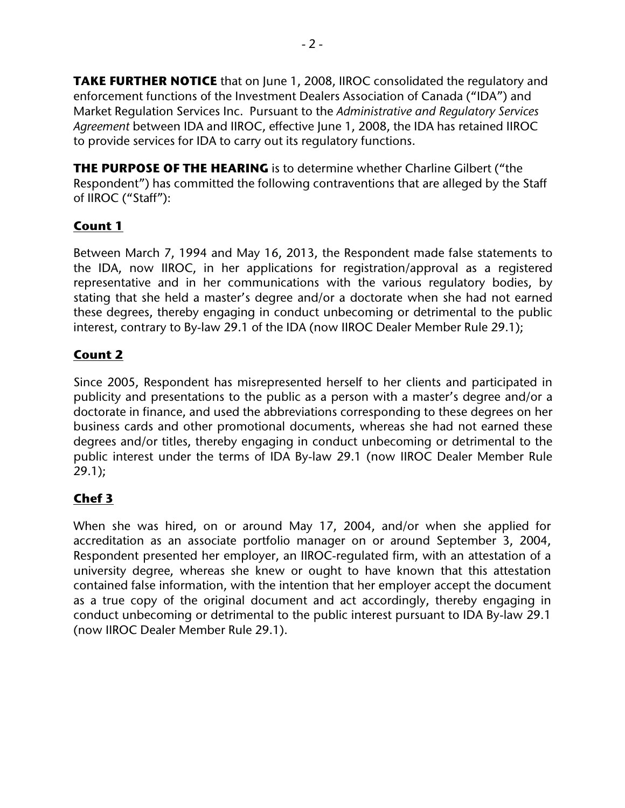**TAKE FURTHER NOTICE** that on June 1, 2008, IIROC consolidated the regulatory and enforcement functions of the Investment Dealers Association of Canada ("IDA") and Market Regulation Services Inc. Pursuant to the *Administrative and Regulatory Services Agreement* between IDA and IIROC, effective June 1, 2008, the IDA has retained IIROC to provide services for IDA to carry out its regulatory functions.

**THE PURPOSE OF THE HEARING** is to determine whether Charline Gilbert ("the Respondent") has committed the following contraventions that are alleged by the Staff of IIROC ("Staff"):

## **Count 1**

Between March 7, 1994 and May 16, 2013, the Respondent made false statements to the IDA, now IIROC, in her applications for registration/approval as a registered representative and in her communications with the various regulatory bodies, by stating that she held a master's degree and/or a doctorate when she had not earned these degrees, thereby engaging in conduct unbecoming or detrimental to the public interest, contrary to By-law 29.1 of the IDA (now IIROC Dealer Member Rule 29.1);

# **Count 2**

Since 2005, Respondent has misrepresented herself to her clients and participated in publicity and presentations to the public as a person with a master's degree and/or a doctorate in finance, and used the abbreviations corresponding to these degrees on her business cards and other promotional documents, whereas she had not earned these degrees and/or titles, thereby engaging in conduct unbecoming or detrimental to the public interest under the terms of IDA By-law 29.1 (now IIROC Dealer Member Rule 29.1);

# **Chef 3**

When she was hired, on or around May 17, 2004, and/or when she applied for accreditation as an associate portfolio manager on or around September 3, 2004, Respondent presented her employer, an IIROC-regulated firm, with an attestation of a university degree, whereas she knew or ought to have known that this attestation contained false information, with the intention that her employer accept the document as a true copy of the original document and act accordingly, thereby engaging in conduct unbecoming or detrimental to the public interest pursuant to IDA By-law 29.1 (now IIROC Dealer Member Rule 29.1).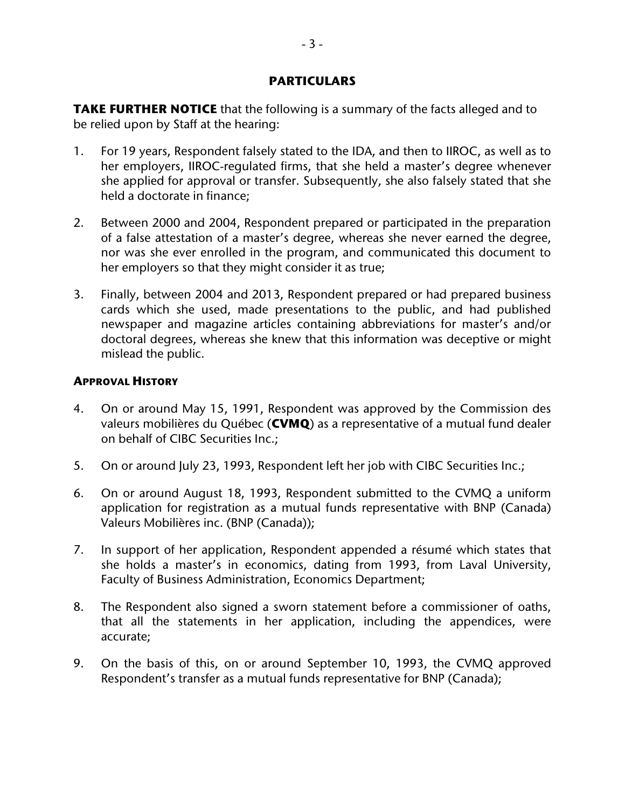#### **PARTICULARS**

**TAKE FURTHER NOTICE** that the following is a summary of the facts alleged and to be relied upon by Staff at the hearing:

- 1. For 19 years, Respondent falsely stated to the IDA, and then to IIROC, as well as to her employers, IIROC-regulated firms, that she held a master's degree whenever she applied for approval or transfer. Subsequently, she also falsely stated that she held a doctorate in finance;
- 2. Between 2000 and 2004, Respondent prepared or participated in the preparation of a false attestation of a master's degree, whereas she never earned the degree, nor was she ever enrolled in the program, and communicated this document to her employers so that they might consider it as true;
- 3. Finally, between 2004 and 2013, Respondent prepared or had prepared business cards which she used, made presentations to the public, and had published newspaper and magazine articles containing abbreviations for master's and/or doctoral degrees, whereas she knew that this information was deceptive or might mislead the public.

### **APPROVAL HISTORY**

- 4. On or around May 15, 1991, Respondent was approved by the Commission des valeurs mobilières du Québec (**CVMQ**) as a representative of a mutual fund dealer on behalf of CIBC Securities Inc.;
- 5. On or around July 23, 1993, Respondent left her job with CIBC Securities Inc.;
- 6. On or around August 18, 1993, Respondent submitted to the CVMQ a uniform application for registration as a mutual funds representative with BNP (Canada) Valeurs Mobilières inc. (BNP (Canada));
- 7. In support of her application, Respondent appended a résumé which states that she holds a master's in economics, dating from 1993, from Laval University, Faculty of Business Administration, Economics Department;
- 8. The Respondent also signed a sworn statement before a commissioner of oaths, that all the statements in her application, including the appendices, were accurate;
- 9. On the basis of this, on or around September 10, 1993, the CVMQ approved Respondent's transfer as a mutual funds representative for BNP (Canada);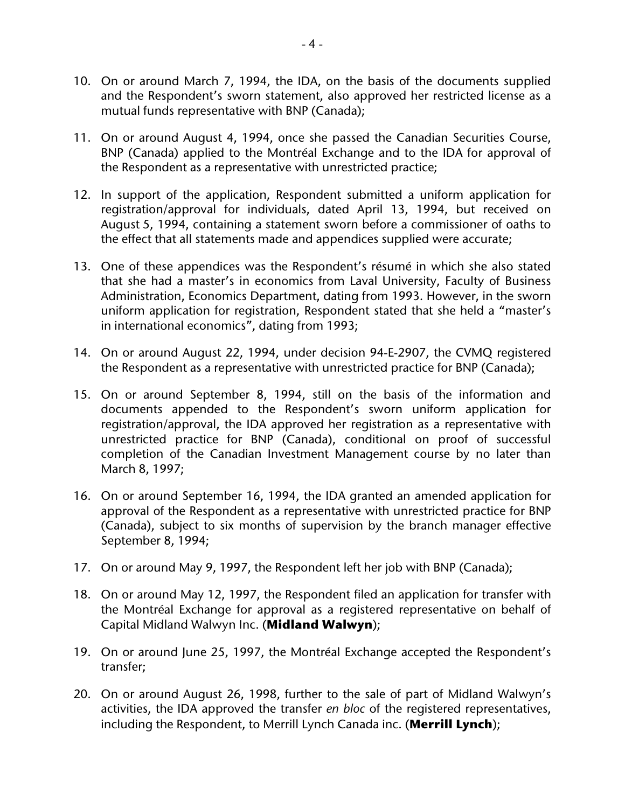- 10. On or around March 7, 1994, the IDA, on the basis of the documents supplied and the Respondent's sworn statement, also approved her restricted license as a mutual funds representative with BNP (Canada);
- 11. On or around August 4, 1994, once she passed the Canadian Securities Course, BNP (Canada) applied to the Montréal Exchange and to the IDA for approval of the Respondent as a representative with unrestricted practice;
- 12. In support of the application, Respondent submitted a uniform application for registration/approval for individuals, dated April 13, 1994, but received on August 5, 1994, containing a statement sworn before a commissioner of oaths to the effect that all statements made and appendices supplied were accurate;
- 13. One of these appendices was the Respondent's résumé in which she also stated that she had a master's in economics from Laval University, Faculty of Business Administration, Economics Department, dating from 1993. However, in the sworn uniform application for registration, Respondent stated that she held a "master's in international economics", dating from 1993;
- 14. On or around August 22, 1994, under decision 94-E-2907, the CVMQ registered the Respondent as a representative with unrestricted practice for BNP (Canada);
- 15. On or around September 8, 1994, still on the basis of the information and documents appended to the Respondent's sworn uniform application for registration/approval, the IDA approved her registration as a representative with unrestricted practice for BNP (Canada), conditional on proof of successful completion of the Canadian Investment Management course by no later than March 8, 1997;
- 16. On or around September 16, 1994, the IDA granted an amended application for approval of the Respondent as a representative with unrestricted practice for BNP (Canada), subject to six months of supervision by the branch manager effective September 8, 1994;
- 17. On or around May 9, 1997, the Respondent left her job with BNP (Canada);
- 18. On or around May 12, 1997, the Respondent filed an application for transfer with the Montréal Exchange for approval as a registered representative on behalf of Capital Midland Walwyn Inc. (**Midland Walwyn**);
- 19. On or around June 25, 1997, the Montréal Exchange accepted the Respondent's transfer;
- 20. On or around August 26, 1998, further to the sale of part of Midland Walwyn's activities, the IDA approved the transfer *en bloc* of the registered representatives, including the Respondent, to Merrill Lynch Canada inc. (**Merrill Lynch**);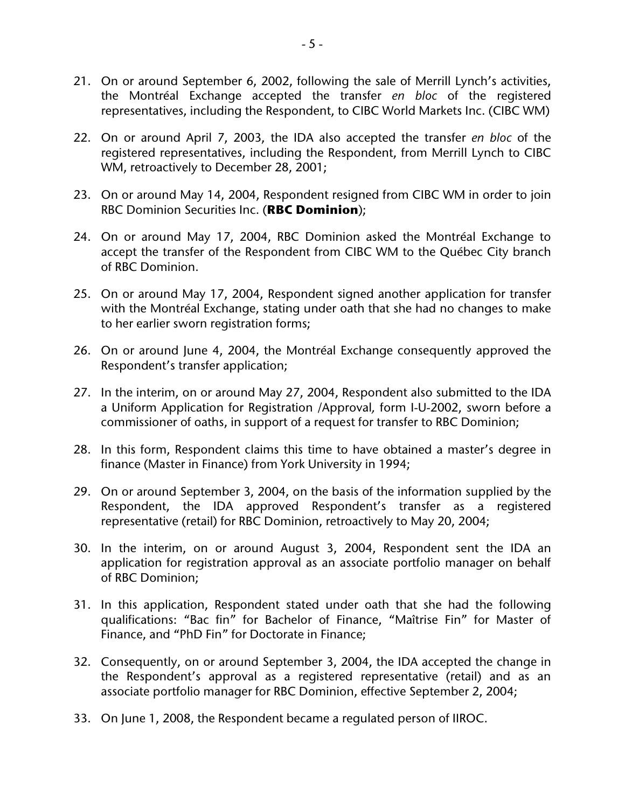- 21. On or around September 6, 2002, following the sale of Merrill Lynch's activities, the Montréal Exchange accepted the transfer *en bloc* of the registered representatives, including the Respondent, to CIBC World Markets Inc. (CIBC WM)
- 22. On or around April 7, 2003, the IDA also accepted the transfer *en bloc* of the registered representatives, including the Respondent, from Merrill Lynch to CIBC WM, retroactively to December 28, 2001;
- 23. On or around May 14, 2004, Respondent resigned from CIBC WM in order to join RBC Dominion Securities Inc. (**RBC Dominion**);
- 24. On or around May 17, 2004, RBC Dominion asked the Montréal Exchange to accept the transfer of the Respondent from CIBC WM to the Québec City branch of RBC Dominion.
- 25. On or around May 17, 2004, Respondent signed another application for transfer with the Montréal Exchange, stating under oath that she had no changes to make to her earlier sworn registration forms;
- 26. On or around June 4, 2004, the Montréal Exchange consequently approved the Respondent's transfer application;
- 27. In the interim, on or around May 27, 2004, Respondent also submitted to the IDA a Uniform Application for Registration /Approval*,* form I-U-2002, sworn before a commissioner of oaths, in support of a request for transfer to RBC Dominion;
- 28. In this form, Respondent claims this time to have obtained a master's degree in finance (Master in Finance) from York University in 1994;
- 29. On or around September 3, 2004, on the basis of the information supplied by the Respondent, the IDA approved Respondent's transfer as a registered representative (retail) for RBC Dominion, retroactively to May 20, 2004;
- 30. In the interim, on or around August 3, 2004, Respondent sent the IDA an application for registration approval as an associate portfolio manager on behalf of RBC Dominion;
- 31. In this application, Respondent stated under oath that she had the following qualifications: "Bac fin" for Bachelor of Finance, "Maîtrise Fin" for Master of Finance, and "PhD Fin" for Doctorate in Finance;
- 32. Consequently, on or around September 3, 2004, the IDA accepted the change in the Respondent's approval as a registered representative (retail) and as an associate portfolio manager for RBC Dominion, effective September 2, 2004;
- 33. On June 1, 2008, the Respondent became a regulated person of IIROC.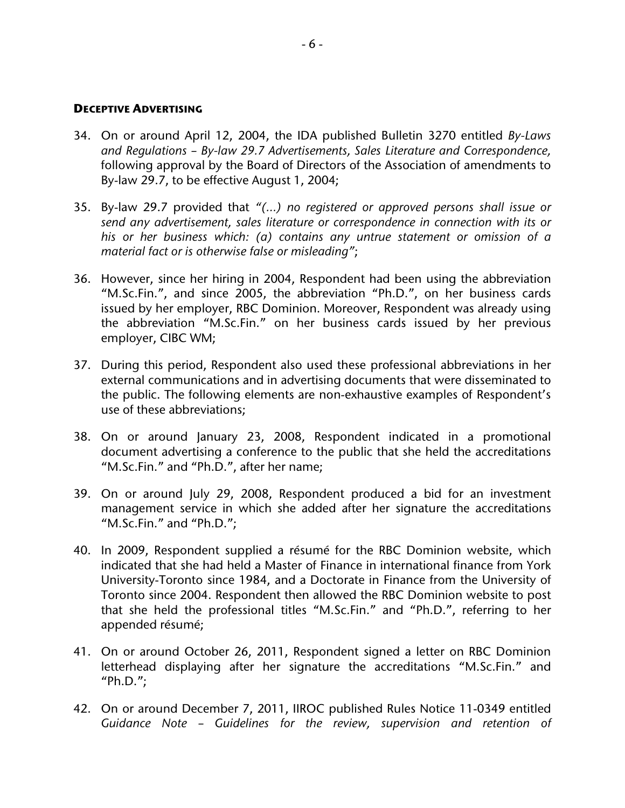#### **DECEPTIVE ADVERTISING**

- 34. On or around April 12, 2004, the IDA published Bulletin 3270 entitled *By-Laws and Regulations – By-law 29.7 Advertisements, Sales Literature and Correspondence,* following approval by the Board of Directors of the Association of amendments to By-law 29.7, to be effective August 1, 2004;
- 35. By-law 29.7 provided that *"(…) no registered or approved persons shall issue or send any advertisement, sales literature or correspondence in connection with its or his or her business which: (a) contains any untrue statement or omission of a material fact or is otherwise false or misleading"*;
- 36. However, since her hiring in 2004, Respondent had been using the abbreviation "M.Sc.Fin.", and since 2005, the abbreviation "Ph.D.", on her business cards issued by her employer, RBC Dominion. Moreover, Respondent was already using the abbreviation "M.Sc.Fin." on her business cards issued by her previous employer, CIBC WM;
- 37. During this period, Respondent also used these professional abbreviations in her external communications and in advertising documents that were disseminated to the public. The following elements are non-exhaustive examples of Respondent's use of these abbreviations;
- 38. On or around January 23, 2008, Respondent indicated in a promotional document advertising a conference to the public that she held the accreditations "M.Sc.Fin." and "Ph.D.", after her name;
- 39. On or around July 29, 2008, Respondent produced a bid for an investment management service in which she added after her signature the accreditations "M.Sc.Fin." and "Ph.D.";
- 40. In 2009, Respondent supplied a résumé for the RBC Dominion website, which indicated that she had held a Master of Finance in international finance from York University-Toronto since 1984, and a Doctorate in Finance from the University of Toronto since 2004. Respondent then allowed the RBC Dominion website to post that she held the professional titles "M.Sc.Fin." and "Ph.D.", referring to her appended résumé;
- 41. On or around October 26, 2011, Respondent signed a letter on RBC Dominion letterhead displaying after her signature the accreditations "M.Sc.Fin." and "Ph.D.";
- 42. On or around December 7, 2011, IIROC published Rules Notice 11-0349 entitled *Guidance Note – Guidelines for the review, supervision and retention of*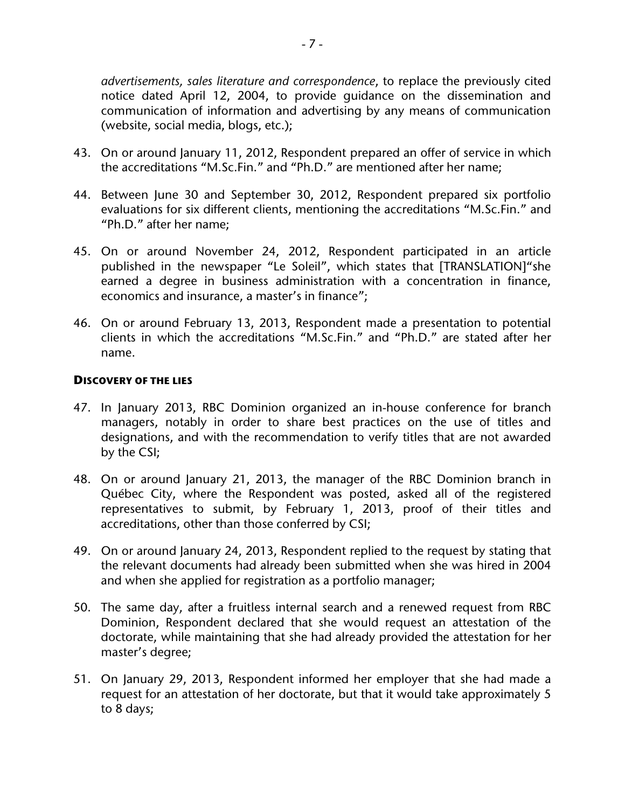*advertisements, sales literature and correspondence*, to replace the previously cited notice dated April 12, 2004, to provide guidance on the dissemination and communication of information and advertising by any means of communication (website, social media, blogs, etc.);

- 43. On or around January 11, 2012, Respondent prepared an offer of service in which the accreditations "M.Sc.Fin." and "Ph.D." are mentioned after her name;
- 44. Between June 30 and September 30, 2012, Respondent prepared six portfolio evaluations for six different clients, mentioning the accreditations "M.Sc.Fin." and "Ph.D." after her name;
- 45. On or around November 24, 2012, Respondent participated in an article published in the newspaper "Le Soleil", which states that [TRANSLATION]"she earned a degree in business administration with a concentration in finance, economics and insurance, a master's in finance";
- 46. On or around February 13, 2013, Respondent made a presentation to potential clients in which the accreditations "M.Sc.Fin." and "Ph.D." are stated after her name.

#### **DISCOVERY OF THE LIES**

- 47. In January 2013, RBC Dominion organized an in-house conference for branch managers, notably in order to share best practices on the use of titles and designations, and with the recommendation to verify titles that are not awarded by the CSI;
- 48. On or around January 21, 2013, the manager of the RBC Dominion branch in Québec City, where the Respondent was posted, asked all of the registered representatives to submit, by February 1, 2013, proof of their titles and accreditations, other than those conferred by CSI;
- 49. On or around January 24, 2013, Respondent replied to the request by stating that the relevant documents had already been submitted when she was hired in 2004 and when she applied for registration as a portfolio manager;
- 50. The same day, after a fruitless internal search and a renewed request from RBC Dominion, Respondent declared that she would request an attestation of the doctorate, while maintaining that she had already provided the attestation for her master's degree;
- 51. On January 29, 2013, Respondent informed her employer that she had made a request for an attestation of her doctorate, but that it would take approximately 5 to 8 days;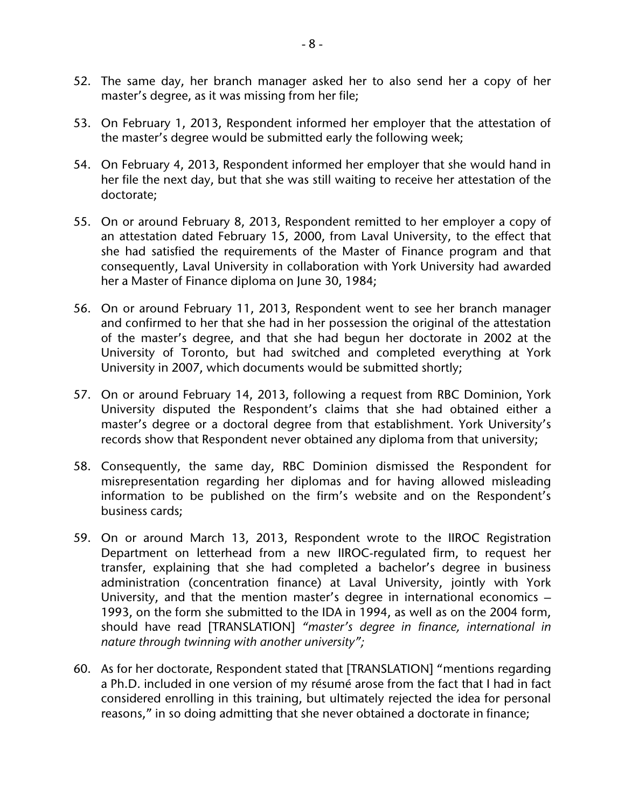- 52. The same day, her branch manager asked her to also send her a copy of her master's degree, as it was missing from her file;
- 53. On February 1, 2013, Respondent informed her employer that the attestation of the master's degree would be submitted early the following week;
- 54. On February 4, 2013, Respondent informed her employer that she would hand in her file the next day, but that she was still waiting to receive her attestation of the doctorate;
- 55. On or around February 8, 2013, Respondent remitted to her employer a copy of an attestation dated February 15, 2000, from Laval University, to the effect that she had satisfied the requirements of the Master of Finance program and that consequently, Laval University in collaboration with York University had awarded her a Master of Finance diploma on June 30, 1984;
- 56. On or around February 11, 2013, Respondent went to see her branch manager and confirmed to her that she had in her possession the original of the attestation of the master's degree, and that she had begun her doctorate in 2002 at the University of Toronto, but had switched and completed everything at York University in 2007, which documents would be submitted shortly;
- 57. On or around February 14, 2013, following a request from RBC Dominion, York University disputed the Respondent's claims that she had obtained either a master's degree or a doctoral degree from that establishment. York University's records show that Respondent never obtained any diploma from that university;
- 58. Consequently, the same day, RBC Dominion dismissed the Respondent for misrepresentation regarding her diplomas and for having allowed misleading information to be published on the firm's website and on the Respondent's business cards;
- 59. On or around March 13, 2013, Respondent wrote to the IIROC Registration Department on letterhead from a new IIROC-regulated firm, to request her transfer, explaining that she had completed a bachelor's degree in business administration (concentration finance) at Laval University, jointly with York University, and that the mention master's degree in international economics – 1993, on the form she submitted to the IDA in 1994, as well as on the 2004 form, should have read [TRANSLATION] *"master's degree in finance, international in nature through twinning with another university";*
- 60. As for her doctorate, Respondent stated that [TRANSLATION] "mentions regarding a Ph.D. included in one version of my résumé arose from the fact that I had in fact considered enrolling in this training, but ultimately rejected the idea for personal reasons," in so doing admitting that she never obtained a doctorate in finance;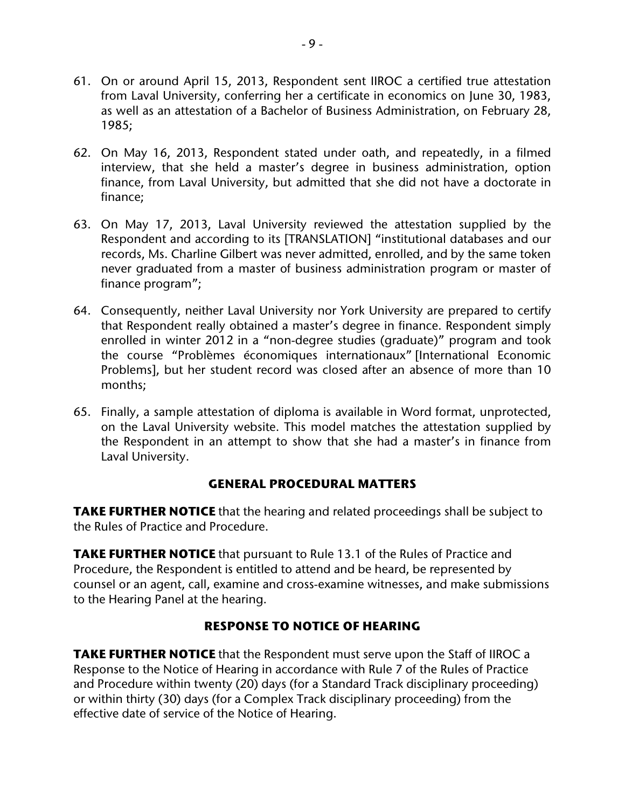- 61. On or around April 15, 2013, Respondent sent IIROC a certified true attestation from Laval University, conferring her a certificate in economics on June 30, 1983, as well as an attestation of a Bachelor of Business Administration, on February 28, 1985;
- 62. On May 16, 2013, Respondent stated under oath, and repeatedly, in a filmed interview, that she held a master's degree in business administration, option finance, from Laval University, but admitted that she did not have a doctorate in finance;
- 63. On May 17, 2013, Laval University reviewed the attestation supplied by the Respondent and according to its [TRANSLATION] "institutional databases and our records, Ms. Charline Gilbert was never admitted, enrolled, and by the same token never graduated from a master of business administration program or master of finance program";
- 64. Consequently, neither Laval University nor York University are prepared to certify that Respondent really obtained a master's degree in finance. Respondent simply enrolled in winter 2012 in a "non-degree studies (graduate)" program and took the course "Problèmes économiques internationaux" [International Economic Problems], but her student record was closed after an absence of more than 10 months;
- 65. Finally, a sample attestation of diploma is available in Word format, unprotected, on the Laval University website. This model matches the attestation supplied by the Respondent in an attempt to show that she had a master's in finance from Laval University.

### **GENERAL PROCEDURAL MATTERS**

**TAKE FURTHER NOTICE** that the hearing and related proceedings shall be subject to the Rules of Practice and Procedure.

**TAKE FURTHER NOTICE** that pursuant to Rule 13.1 of the Rules of Practice and Procedure, the Respondent is entitled to attend and be heard, be represented by counsel or an agent, call, examine and cross-examine witnesses, and make submissions to the Hearing Panel at the hearing.

## **RESPONSE TO NOTICE OF HEARING**

**TAKE FURTHER NOTICE** that the Respondent must serve upon the Staff of IIROC a Response to the Notice of Hearing in accordance with Rule 7 of the Rules of Practice and Procedure within twenty (20) days (for a Standard Track disciplinary proceeding) or within thirty (30) days (for a Complex Track disciplinary proceeding) from the effective date of service of the Notice of Hearing.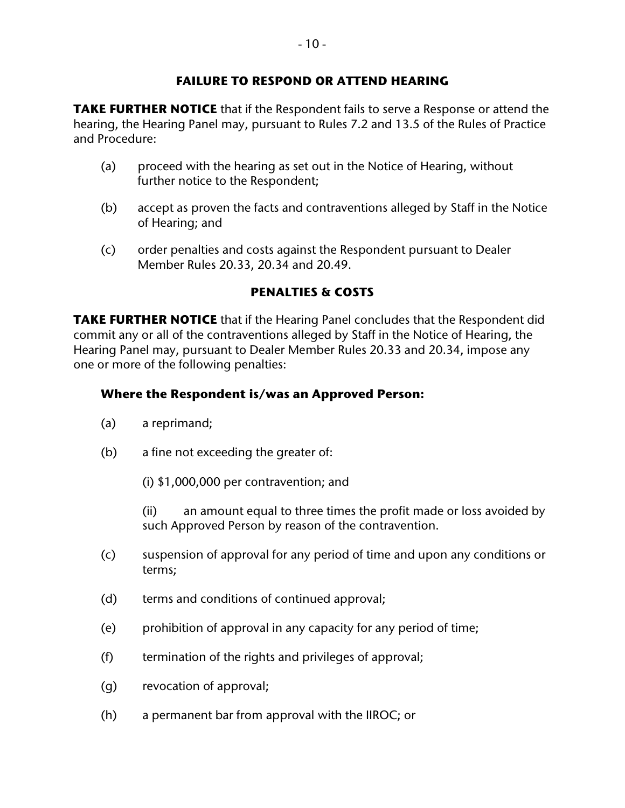### **FAILURE TO RESPOND OR ATTEND HEARING**

**TAKE FURTHER NOTICE** that if the Respondent fails to serve a Response or attend the hearing, the Hearing Panel may, pursuant to Rules 7.2 and 13.5 of the Rules of Practice and Procedure:

- (a) proceed with the hearing as set out in the Notice of Hearing, without further notice to the Respondent;
- (b) accept as proven the facts and contraventions alleged by Staff in the Notice of Hearing; and
- (c) order penalties and costs against the Respondent pursuant to Dealer Member Rules 20.33, 20.34 and 20.49.

## **PENALTIES & COSTS**

**TAKE FURTHER NOTICE** that if the Hearing Panel concludes that the Respondent did commit any or all of the contraventions alleged by Staff in the Notice of Hearing, the Hearing Panel may, pursuant to Dealer Member Rules 20.33 and 20.34, impose any one or more of the following penalties:

### **Where the Respondent is/was an Approved Person:**

- (a) a reprimand;
- (b) a fine not exceeding the greater of:
	- (i) \$1,000,000 per contravention; and

(ii) an amount equal to three times the profit made or loss avoided by such Approved Person by reason of the contravention.

- (c) suspension of approval for any period of time and upon any conditions or terms;
- (d) terms and conditions of continued approval;
- (e) prohibition of approval in any capacity for any period of time;
- (f) termination of the rights and privileges of approval;
- (g) revocation of approval;
- (h) a permanent bar from approval with the IIROC; or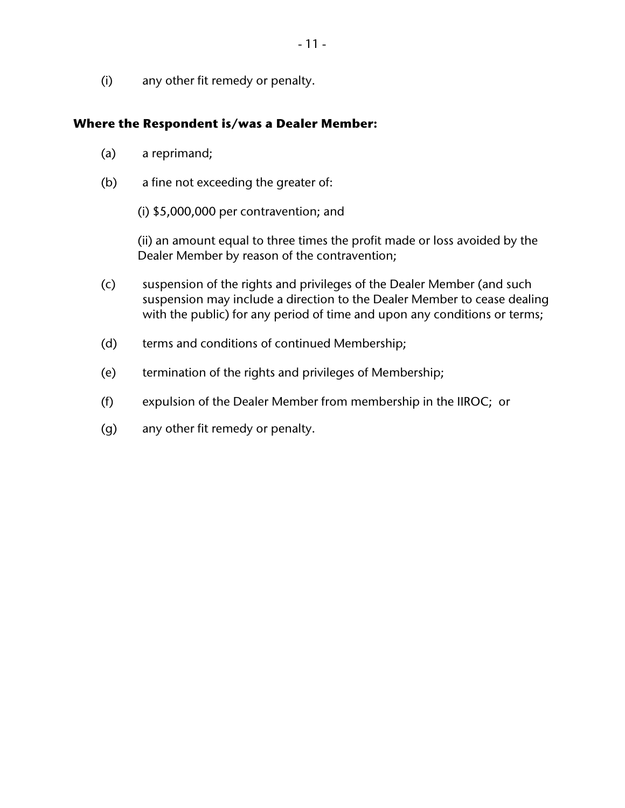(i) any other fit remedy or penalty.

#### **Where the Respondent is/was a Dealer Member:**

- (a) a reprimand;
- (b) a fine not exceeding the greater of:
	- (i) \$5,000,000 per contravention; and

(ii) an amount equal to three times the profit made or loss avoided by the Dealer Member by reason of the contravention;

- (c) suspension of the rights and privileges of the Dealer Member (and such suspension may include a direction to the Dealer Member to cease dealing with the public) for any period of time and upon any conditions or terms;
- (d) terms and conditions of continued Membership;
- (e) termination of the rights and privileges of Membership;
- (f) expulsion of the Dealer Member from membership in the IIROC; or
- (g) any other fit remedy or penalty.